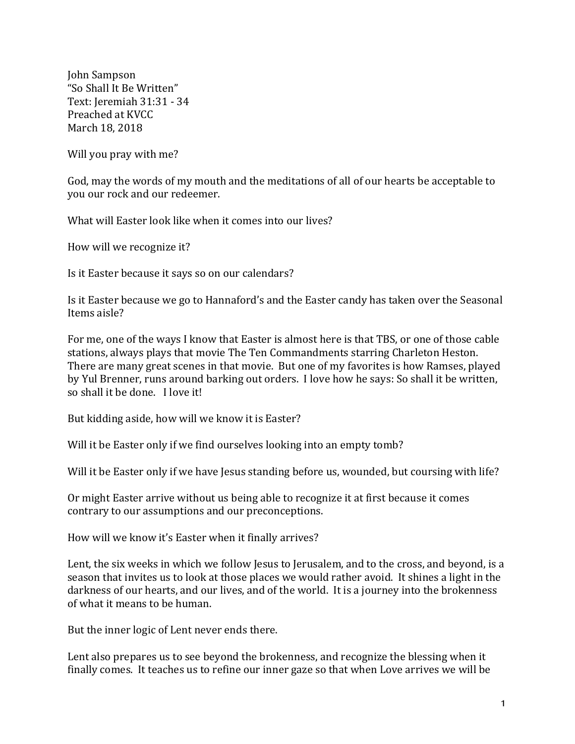John Sampson "So Shall It Be Written" Text: Ieremiah 31:31 - 34 Preached at KVCC March 18, 2018

Will you pray with me?

God, may the words of my mouth and the meditations of all of our hearts be acceptable to you our rock and our redeemer.

What will Easter look like when it comes into our lives?

How will we recognize it?

Is it Easter because it says so on our calendars?

Is it Easter because we go to Hannaford's and the Easter candy has taken over the Seasonal Items aisle?

For me, one of the ways I know that Easter is almost here is that TBS, or one of those cable stations, always plays that movie The Ten Commandments starring Charleton Heston. There are many great scenes in that movie. But one of my favorites is how Ramses, played by Yul Brenner, runs around barking out orders. I love how he says: So shall it be written, so shall it be done. I love it!

But kidding aside, how will we know it is Easter?

Will it be Easter only if we find ourselves looking into an empty tomb?

Will it be Easter only if we have Jesus standing before us, wounded, but coursing with life?

Or might Easter arrive without us being able to recognize it at first because it comes contrary to our assumptions and our preconceptions.

How will we know it's Easter when it finally arrives?

Lent, the six weeks in which we follow Jesus to Jerusalem, and to the cross, and beyond, is a season that invites us to look at those places we would rather avoid. It shines a light in the darkness of our hearts, and our lives, and of the world. It is a journey into the brokenness of what it means to be human.

But the inner logic of Lent never ends there.

Lent also prepares us to see beyond the brokenness, and recognize the blessing when it finally comes. It teaches us to refine our inner gaze so that when Love arrives we will be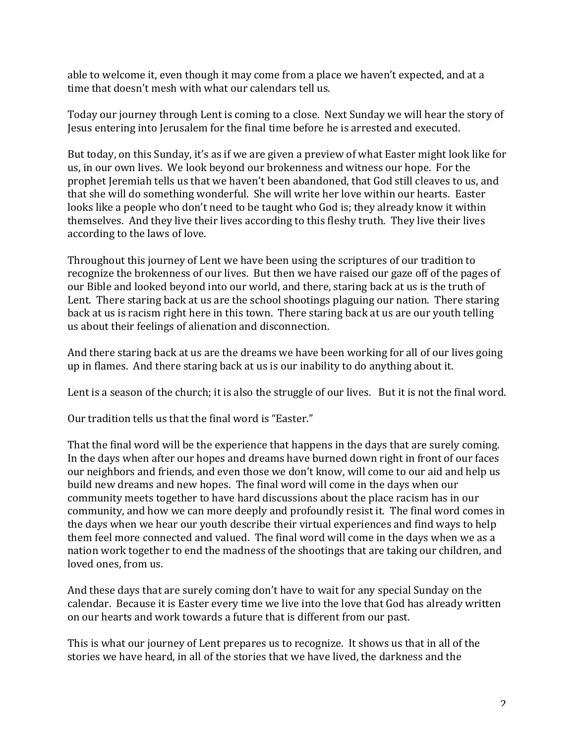able to welcome it, even though it may come from a place we haven't expected, and at a time that doesn't mesh with what our calendars tell us.

Today our journey through Lent is coming to a close. Next Sunday we will hear the story of Jesus entering into Jerusalem for the final time before he is arrested and executed.

But today, on this Sunday, it's as if we are given a preview of what Easter might look like for us, in our own lives. We look beyond our brokenness and witness our hope. For the prophet Jeremiah tells us that we haven't been abandoned, that God still cleaves to us, and that she will do something wonderful. She will write her love within our hearts. Easter looks like a people who don't need to be taught who God is; they already know it within themselves. And they live their lives according to this fleshy truth. They live their lives according to the laws of love.

Throughout this journey of Lent we have been using the scriptures of our tradition to recognize the brokenness of our lives. But then we have raised our gaze off of the pages of our Bible and looked beyond into our world, and there, staring back at us is the truth of Lent. There staring back at us are the school shootings plaguing our nation. There staring back at us is racism right here in this town. There staring back at us are our youth telling us about their feelings of alienation and disconnection.

And there staring back at us are the dreams we have been working for all of our lives going up in flames. And there staring back at us is our inability to do anything about it.

Lent is a season of the church; it is also the struggle of our lives. But it is not the final word.

Our tradition tells us that the final word is "Easter."

That the final word will be the experience that happens in the days that are surely coming. In the days when after our hopes and dreams have burned down right in front of our faces our neighbors and friends, and even those we don't know, will come to our aid and help us build new dreams and new hopes. The final word will come in the days when our community meets together to have hard discussions about the place racism has in our community, and how we can more deeply and profoundly resist it. The final word comes in the days when we hear our youth describe their virtual experiences and find ways to help them feel more connected and valued. The final word will come in the days when we as a nation work together to end the madness of the shootings that are taking our children, and loved ones, from us.

And these days that are surely coming don't have to wait for any special Sunday on the calendar. Because it is Easter every time we live into the love that God has already written on our hearts and work towards a future that is different from our past.

This is what our journey of Lent prepares us to recognize. It shows us that in all of the stories we have heard, in all of the stories that we have lived, the darkness and the